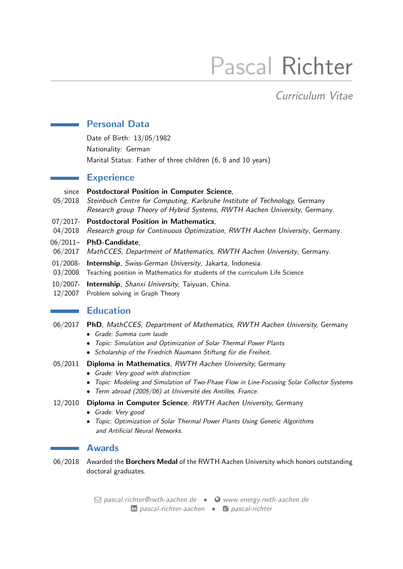# Pascal Richter

## Curriculum Vitae

## Personal Data

Date of Birth: 13/05/1982 Nationality: German Marital Status: Father of three children (6, 8 and 10 years)

## **Experience**

#### since Postdoctoral Position in Computer Science,

- 05/2018 Steinbuch Centre for Computing, Karlsruhe Institute of Technology, Germany Research group Theory of Hybrid Systems, RWTH Aachen University, Germany.
- 07/2017- Postdoctoral Position in Mathematics,
- 04/2018 Research group for Continuous Optimization, RWTH Aachen University, Germany.
- 06/2011– PhD-Candidate,
- 06/2017 MathCCES, Department of Mathematics, RWTH Aachen University, Germany.
- 01/2008- Internship, Swiss-German University, Jakarta, Indonesia.
- 03/2008 Teaching position in Mathematics for students of the curriculum Life Science
- 10/2007- Internship, Shanxi University, Taiyuan, China.
- 12/2007 Problem solving in Graph Theory

## **Education**

- 06/2017 PhD, MathCCES, Department of Mathematics, RWTH Aachen University, Germany
	- Grade: Summa cum laude
	- Topic: Simulation and Optimization of Solar Thermal Power Plants
	- Scholarship of the Friedrich Naumann Stiftung für die Freiheit.
- 05/2011 Diploma in Mathematics, RWTH Aachen University, Germany
	- Grade: Very good with distinction
	- Topic: Modeling and Simulation of Two-Phase Flow in Line-Focusing Solar Collector Systems
	- Term abroad (2005/06) at Université des Antilles, France.
- 12/2010 Diploma in Computer Science, RWTH Aachen University, Germany
	- Grade: Very good
	- Topic: Optimization of Solar Thermal Power Plants Using Genetic Algorithms and Artificial Neural Networks.

## Awards

06/2018 Awarded the Borchers Medal of the RWTH Aachen University which honors outstanding doctoral graduates.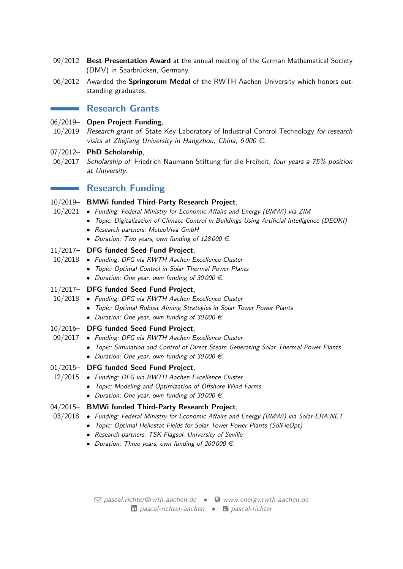- 09/2012 Best Presentation Award at the annual meeting of the German Mathematical Society (DMV) in Saarbrücken, Germany.
- 06/2012 Awarded the Springorum Medal of the RWTH Aachen University which honors outstanding graduates.

## **Research Grants**

#### 06/2019– Open Project Funding,

- 10/2019 Research grant of State Key Laboratory of Industrial Control Technology for research visits at Zhejiang University in Hangzhou, China, 6000  $\in$ .
- 07/2012- PhD Scholarship,
- 06/2017 Scholarship of Friedrich Naumann Stiftung für die Freiheit, four years a 75% position at University.

## **Research Funding**

# 10/2019– BMWi funded Third-Party Research Project,

- 10/2021 Funding: Federal Ministry for Economic Affairs and Energy (BMWi) via ZIM
	- Topic: Digitalization of Climate Control in Buildings Using Artificial Intelligence (DEOKI)
	- Research partners: MeteoViva GmbH
	- Duration: Two years, own funding of  $128000 \in$ .

#### 11/2017– DFG funded Seed Fund Project,

- 10/2018 Funding: DFG via RWTH Aachen Excellence Cluster
	- Topic: Optimal Control in Solar Thermal Power Plants
		- Duration: One year, own funding of 30000  $\epsilon$ .

## 11/2017– DFG funded Seed Fund Project,

- 10/2018 Funding: DFG via RWTH Aachen Excellence Cluster
	- Topic: Optimal Robust Aiming Strategies in Solar Tower Power Plants
	- Duration: One year, own funding of 30000  $\epsilon$ .

#### 10/2016– DFG funded Seed Fund Project,

- 09/2017 Funding: DFG via RWTH Aachen Excellence Cluster
	- Topic: Simulation and Control of Direct Steam Generating Solar Thermal Power Plants
	- Duration: One year, own funding of 30000  $\in$ .

#### 01/2015– DFG funded Seed Fund Project,

- 12/2015 Funding: DFG via RWTH Aachen Excellence Cluster
	- Topic: Modeling and Optimization of Offshore Wind Farms
	- Duration: One year, own funding of 30 000  $\in$ .

#### 04/2015– BMWi funded Third-Party Research Project,

- 03/2018 Funding: Federal Ministry for Economic Affairs and Energy (BMWi) via Solar-ERA.NET
	- Topic: Optimal Heliostat Fields for Solar Tower Power Plants (SolFieOpt)
		- Research partners: TSK Flagsol, University of Seville
		- Duration: Three years, own funding of 260000  $\in$ .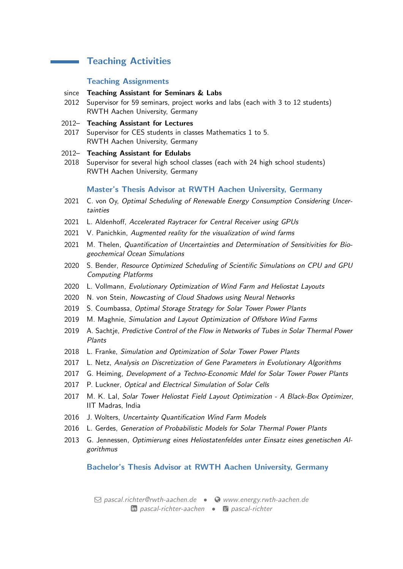## **Teaching Activities**

#### Teaching Assignments

#### since Teaching Assistant for Seminars & Labs

- 2012 Supervisor for 59 seminars, project works and labs (each with 3 to 12 students) RWTH Aachen University, Germany
- 2012– Teaching Assistant for Lectures
- 2017 Supervisor for CES students in classes Mathematics 1 to 5. RWTH Aachen University, Germany
- 2012– Teaching Assistant for Edulabs
- 2018 Supervisor for several high school classes (each with 24 high school students) RWTH Aachen University, Germany

#### Master's Thesis Advisor at RWTH Aachen University, Germany

- 2021 C. von Oy, Optimal Scheduling of Renewable Energy Consumption Considering Uncertainties
- 2021 L. Aldenhoff, Accelerated Raytracer for Central Receiver using GPUs
- 2021 V. Panichkin, Augmented reality for the visualization of wind farms
- 2021 M. Thelen, Quantification of Uncertainties and Determination of Sensitivities for Biogeochemical Ocean Simulations
- 2020 S. Bender, Resource Optimized Scheduling of Scientific Simulations on CPU and GPU Computing Platforms
- 2020 L. Vollmann, Evolutionary Optimization of Wind Farm and Heliostat Layouts
- 2020 N. von Stein, Nowcasting of Cloud Shadows using Neural Networks
- 2019 S. Coumbassa, Optimal Storage Strategy for Solar Tower Power Plants
- 2019 M. Maghnie, Simulation and Layout Optimization of Offshore Wind Farms
- 2019 A. Sachtie, Predictive Control of the Flow in Networks of Tubes in Solar Thermal Power Plants
- 2018 L. Franke, Simulation and Optimization of Solar Tower Power Plants
- 2017 L. Netz, Analysis on Discretization of Gene Parameters in Evolutionary Algorithms
- 2017 G. Heiming, Development of a Techno-Economic Mdel for Solar Tower Power Plants
- 2017 P. Luckner, Optical and Electrical Simulation of Solar Cells
- 2017 M. K. Lal, Solar Tower Heliostat Field Layout Optimization A Black-Box Optimizer, IIT Madras, India
- 2016 J. Wolters, Uncertainty Quantification Wind Farm Models
- 2016 L. Gerdes, Generation of Probabilistic Models for Solar Thermal Power Plants
- 2013 G. Jennessen, Optimierung eines Heliostatenfeldes unter Einsatz eines genetischen Algorithmus

#### Bachelor's Thesis Advisor at RWTH Aachen University, Germany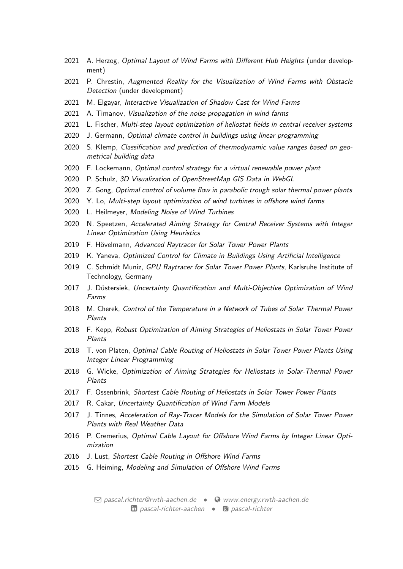- 2021 A. Herzog, Optimal Layout of Wind Farms with Different Hub Heights (under development)
- 2021 P. Chrestin, Augmented Reality for the Visualization of Wind Farms with Obstacle Detection (under development)
- 2021 M. Elgayar, Interactive Visualization of Shadow Cast for Wind Farms
- 2021 A. Timanov, Visualization of the noise propagation in wind farms
- 2021 L. Fischer, Multi-step layout optimization of heliostat fields in central receiver systems
- 2020 J. Germann, Optimal climate control in buildings using linear programming
- 2020 S. Klemp, Classification and prediction of thermodynamic value ranges based on geometrical building data
- 2020 F. Lockemann, Optimal control strategy for a virtual renewable power plant
- 2020 P. Schulz, 3D Visualization of OpenStreetMap GIS Data in WebGL
- 2020 Z. Gong, Optimal control of volume flow in parabolic trough solar thermal power plants
- 2020 Y. Lo, Multi-step layout optimization of wind turbines in offshore wind farms
- 2020 L. Heilmeyer, Modeling Noise of Wind Turbines
- 2020 N. Speetzen, Accelerated Aiming Strategy for Central Receiver Systems with Integer Linear Optimization Using Heuristics
- 2019 F. Hövelmann, Advanced Raytracer for Solar Tower Power Plants
- 2019 K. Yaneva, Optimized Control for Climate in Buildings Using Artificial Intelligence
- 2019 C. Schmidt Muniz, GPU Raytracer for Solar Tower Power Plants, Karlsruhe Institute of Technology, Germany
- 2017 J. Düstersiek, Uncertainty Quantification and Multi-Objective Optimization of Wind Farms
- 2018 M. Cherek, Control of the Temperature in a Network of Tubes of Solar Thermal Power Plants
- 2018 F. Kepp, Robust Optimization of Aiming Strategies of Heliostats in Solar Tower Power Plants
- 2018 T. von Platen, Optimal Cable Routing of Heliostats in Solar Tower Power Plants Using Integer Linear Programming
- 2018 G. Wicke, Optimization of Aiming Strategies for Heliostats in Solar-Thermal Power Plants
- 2017 F. Ossenbrink, Shortest Cable Routing of Heliostats in Solar Tower Power Plants
- 2017 R. Cakar, Uncertainty Quantification of Wind Farm Models
- 2017 J. Tinnes, Acceleration of Ray-Tracer Models for the Simulation of Solar Tower Power Plants with Real Weather Data
- 2016 P. Cremerius, Optimal Cable Layout for Offshore Wind Farms by Integer Linear Optimization
- 2016 J. Lust, Shortest Cable Routing in Offshore Wind Farms
- 2015 G. Heiming, Modeling and Simulation of Offshore Wind Farms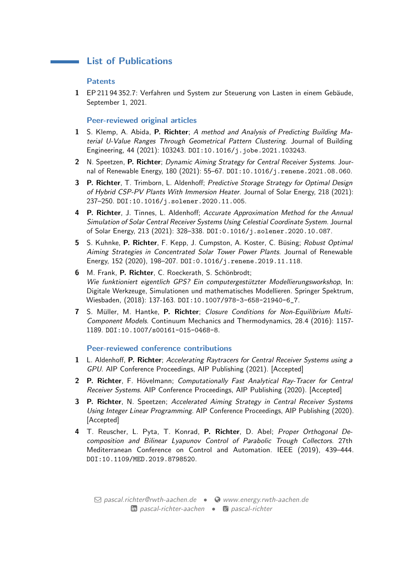## List of Publications

#### Patents

**Contract Contract Contract** 

1 EP 211 94 352.7: Verfahren und System zur Steuerung von Lasten in einem Gebäude, September 1, 2021.

#### Peer-reviewed original articles

- 1 S. Klemp, A. Abida, P. Richter; A method and Analysis of Predicting Building Material U-Value Ranges Through Geometrical Pattern Clustering. Journal of Building Engineering, 44 (2021): 103243. DOI:10.1016/j.jobe.2021.103243.
- 2 N. Speetzen, P. Richter; Dynamic Aiming Strategy for Central Receiver Systems. Journal of Renewable Energy, 180 (2021): 55–67. DOI:10.1016/j.renene.2021.08.060.
- 3 P. Richter, T. Trimborn, L. Aldenhoff; Predictive Storage Strategy for Optimal Design of Hybrid CSP-PV Plants With Immersion Heater. Journal of Solar Energy, 218 (2021): 237–250. DOI:10.1016/j.solener.2020.11.005.
- 4 P. Richter, J. Tinnes, L. Aldenhoff; Accurate Approximation Method for the Annual Simulation of Solar Central Receiver Systems Using Celestial Coordinate System. Journal of Solar Energy, 213 (2021): 328–338. DOI:0.1016/j.solener.2020.10.087.
- 5 S. Kuhnke, P. Richter, F. Kepp, J. Cumpston, A. Koster, C. Büsing; Robust Optimal Aiming Strategies in Concentrated Solar Tower Power Plants. Journal of Renewable Energy, 152 (2020), 198–207. DOI:0.1016/j.renene.2019.11.118.
- 6 M. Frank, P. Richter, C. Roeckerath, S. Schönbrodt; Wie funktioniert eigentlich GPS? Ein computergestützter Modellierungsworkshop, In: Digitale Werkzeuge, Simulationen und mathematisches Modellieren. Springer Spektrum, Wiesbaden, (2018): 137-163. DOI:10.1007/978-3-658-21940-6\_7.
- 7 S. Müller, M. Hantke, P. Richter; Closure Conditions for Non-Equilibrium Multi-Component Models. Continuum Mechanics and Thermodynamics, 28.4 (2016): 1157- 1189. DOI:10.1007/s00161-015-0468-8.

#### Peer-reviewed conference contributions

- 1 L. Aldenhoff, P. Richter; Accelerating Raytracers for Central Receiver Systems using a GPU. AIP Conference Proceedings, AIP Publishing (2021). [Accepted]
- 2 P. Richter, F. Hövelmann; Computationally Fast Analytical Ray-Tracer for Central Receiver Systems. AIP Conference Proceedings, AIP Publishing (2020). [Accepted]
- 3 P. Richter, N. Speetzen; Accelerated Aiming Strategy in Central Receiver Systems Using Integer Linear Programming. AIP Conference Proceedings, AIP Publishing (2020). [Accepted]
- 4 T. Reuscher, L. Pyta, T. Konrad, P. Richter, D. Abel; Proper Orthogonal Decomposition and Bilinear Lyapunov Control of Parabolic Trough Collectors. 27th Mediterranean Conference on Control and Automation. IEEE (2019), 439–444. DOI:10.1109/MED.2019.8798520.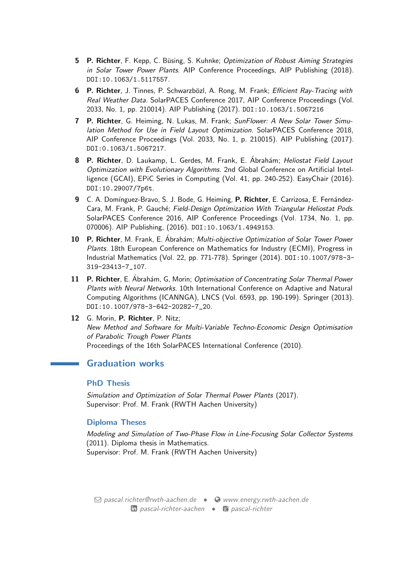- 5 P. Richter, F. Kepp, C. Büsing, S. Kuhnke; Optimization of Robust Aiming Strategies in Solar Tower Power Plants. AIP Conference Proceedings, AIP Publishing (2018). DOI:10.1063/1.5117557.
- 6 P. Richter, J. Tinnes, P. Schwarzbözl, A. Rong, M. Frank; Efficient Ray-Tracing with Real Weather Data. SolarPACES Conference 2017, AIP Conference Proceedings (Vol. 2033, No. 1, pp. 210014). AIP Publishing (2017). DOI:10.1063/1.5067216
- 7 P. Richter, G. Heiming, N. Lukas, M. Frank; SunFlower: A New Solar Tower Simulation Method for Use in Field Layout Optimization. SolarPACES Conference 2018, AIP Conference Proceedings (Vol. 2033, No. 1, p. 210015). AIP Publishing (2017). DOI:0.1063/1.5067217.
- 8 P. Richter, D. Laukamp, L. Gerdes, M. Frank, E. Ábrahám; Heliostat Field Layout Optimization with Evolutionary Algorithms. 2nd Global Conference on Artificial Intelligence (GCAI), EPiC Series in Computing (Vol. 41, pp. 240-252). EasyChair (2016). DOI:10.29007/7p6t.
- 9 C. A. Domínguez-Bravo, S. J. Bode, G. Heiming, P. Richter, E. Carrizosa, E. Fernández-Cara, M. Frank, P. Gauché; Field-Design Optimization With Triangular Heliostat Pods. SolarPACES Conference 2016, AIP Conference Proceedings (Vol. 1734, No. 1, pp. 070006). AIP Publishing, (2016). DOI:10.1063/1.4949153.
- 10 P. Richter, M. Frank, E. Abrahám; Multi-objective Optimization of Solar Tower Power Plants. 18th European Conference on Mathematics for Industry (ECMI), Progress in Industrial Mathematics (Vol. 22, pp. 771-778). Springer (2014). DOI:10.1007/978-3- 319-23413-7\_107.
- 11 P. Richter, E. Ábrahám, G, Morin; Optimisation of Concentrating Solar Thermal Power Plants with Neural Networks. 10th International Conference on Adaptive and Natural Computing Algorithms (ICANNGA), LNCS (Vol. 6593, pp. 190-199). Springer (2013). DOI:10.1007/978-3-642-20282-7\_20.
- 12 G. Morin, P. Richter, P. Nitz; New Method and Software for Multi-Variable Techno-Economic Design Optimisation of Parabolic Trough Power Plants Proceedings of the 16th SolarPACES International Conference (2010).

## Graduation works

#### PhD Thesis

Simulation and Optimization of Solar Thermal Power Plants (2017). Supervisor: Prof. M. Frank (RWTH Aachen University)

## Diploma Theses

Modeling and Simulation of Two-Phase Flow in Line-Focusing Solar Collector Systems (2011). Diploma thesis in Mathematics. Supervisor: Prof. M. Frank (RWTH Aachen University)